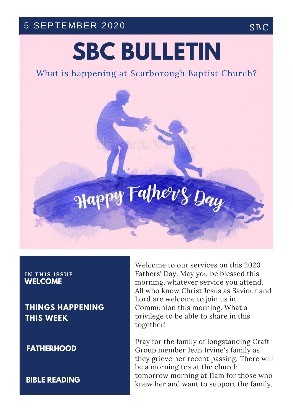## 5 SEPTEMBER 2020 SBC

# **SBC BULLETIN**

## What is happening at Scarborough Baptist Church?



#### **IN T H IS ISSUE WELCOME**

**THINGS HAPPENING THIS WEEK**

**FATHERHOOD**

**BIBLE READING**

Welcome to our services on this 2020 Fathers' Day. May you be blessed this morning, whatever service you attend. All who know Christ Jesus as Saviour and Lord are welcome to join us in Communion this morning. What a privilege to be able to share in this together!

Pray for the family of longstanding Craft Group member Jean Irvine's family as they grieve her recent passing. There will be a morning tea at the church tomorrow morning at 11am for those who knew her and want to support the family.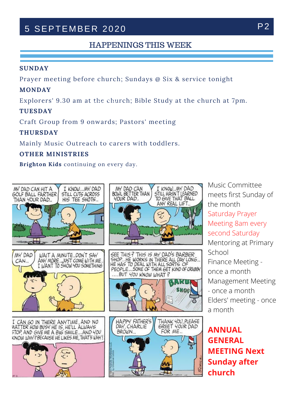# 5 SEPTEMBER 2020 P2

### HAPPENINGS THIS WEEK

#### **SUNDAY**

Prayer meeting before church; Sundays @ Six & service tonight

#### **MONDAY**

Explorers' 9.30 am at the church; Bible Study at the church at 7pm.

#### **TUESDAY**

Craft Group from 9 onwards; Pastors' meeting

#### **THURSDAY**

Mainly Music Outreach to carers with toddlers.

#### **OTHER MINISTRIES**

**Brighton Kids** continuing on every day.



Music Committee meets first Sunday of the month Saturday Prayer Meeting 8am every second Saturday Mentoring at Primary School Finance Meeting once a month Management Meeting - once a month Elders' meeting - once

**ANNUAL GENERAL MEETING Next Sunday after church**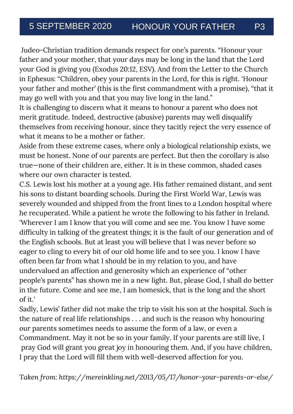Judeo-Christian tradition demands respect for one's parents. "Honour your father and your mother, that your days may be long in the land that the Lord your God is giving you (Exodus 20:12, ESV). And from the Letter to the Church in Ephesus: "Children, obey your parents in the Lord, for this is right. 'Honour your father and mother' (this is the first commandment with a promise), "that it may go well with you and that you may live long in the land."

It is challenging to discern what it means to honour a parent who does not merit gratitude. Indeed, destructive (abusive) parents may well disqualify themselves from receiving honour, since they tacitly reject the very essence of what it means to be a mother or father.

Aside from these extreme cases, where only a biological relationship exists, we must be honest. None of our parents are perfect. But then the corollary is also true—none of their children are, either. It is in these common, shaded cases where our own character is tested.

difficulty in talking of the greatest things; it is the fault of our generat<mark>ion</mark> and of C.S. Lewis lost his mother at a young age. His father remained distant, and sent his sons to distant boarding schools. During the First World War, Lewis was severely wounded and shipped from the front lines to a London hospital where he recuperated. While a patient he wrote the following to his father in Ireland. 'Wherever I am I know that you will come and see me. You know I have some the English schools. But at least you will believe that I was never before so eager to cling to every bit of our old home life and to see you. I know I have often been far from what I should be in my relation to you, and have undervalued an affection and generosity which an experience of "other people's parents" has shown me in a new light. But, please God, I shall do better in the future. Come and see me, I am homesick, that is the long and the short of it.'

Sadly, Lewis' father did not make the trip to visit his son at the hospital. Such is the nature of real life relationships . . . and such is the reason why honouring our parents sometimes needs to assume the form of a law, or even a Commandment. May it not be so in your family. If your parents are still live, I pray God will grant you great joy in honouring them. And, if you have children, I pray that the Lord will fill them with well-deserved affection for you.

*Taken from: https://mereinkling.net/2013/05/17/honor-your-parents-or-else/*